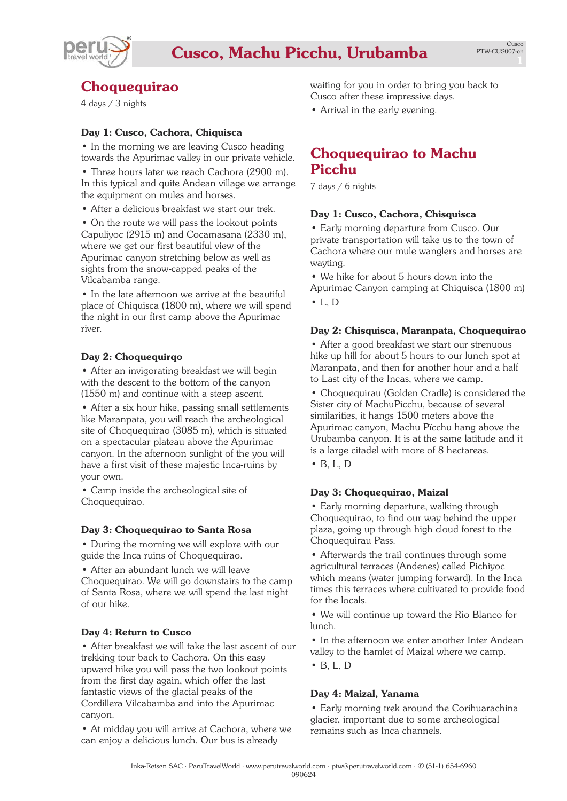

# **Choquequirao**

4 days / 3 nights

# **Day 1: Cusco, Cachora, Chiquisca**

• In the morning we are leaving Cusco heading towards the Apurimac valley in our private vehicle.

• Three hours later we reach Cachora (2900 m). In this typical and quite Andean village we arrange the equipment on mules and horses.

• After a delicious breakfast we start our trek.

• On the route we will pass the lookout points Capuliyoc (2915 m) and Cocamasana (2330 m), where we get our first beautiful view of the Apurimac canyon stretching below as well as sights from the snow-capped peaks of the Vilcabamba range.

• In the late afternoon we arrive at the beautiful place of Chiquisca (1800 m), where we will spend the night in our first camp above the Apurimac river.

# **Day 2: Choquequirqo**

• After an invigorating breakfast we will begin with the descent to the bottom of the canyon (1550 m) and continue with a steep ascent.

• After a six hour hike, passing small settlements like Maranpata, you will reach the archeological site of Choquequirao (3085 m), which is situated on a spectacular plateau above the Apurimac canyon. In the afternoon sunlight of the you will have a first visit of these majestic Inca-ruins by your own.

• Camp inside the archeological site of Choquequirao.

# **Day 3: Choquequirao to Santa Rosa**

• During the morning we will explore with our guide the Inca ruins of Choquequirao.

• After an abundant lunch we will leave Choquequirao. We will go downstairs to the camp of Santa Rosa, where we will spend the last night of our hike.

# **Day 4: Return to Cusco**

• After breakfast we will take the last ascent of our trekking tour back to Cachora. On this easy upward hike you will pass the two lookout points from the first day again, which offer the last fantastic views of the glacial peaks of the Cordillera Vilcabamba and into the Apurimac canyon.

• At midday you will arrive at Cachora, where we can enjoy a delicious lunch. Our bus is already

waiting for you in order to bring you back to Cusco after these impressive days.

• Arrival in the early evening.

# **Choquequirao to Machu Picchu**

7 days / 6 nights

# **Day 1: Cusco, Cachora, Chisquisca**

• Early morning departure from Cusco. Our private transportation will take us to the town of Cachora where our mule wanglers and horses are wayting.

• We hike for about 5 hours down into the Apurimac Canyon camping at Chiquisca (1800 m)  $\bullet$  I. D

# **Day 2: Chisquisca, Maranpata, Choquequirao**

• After a good breakfast we start our strenuous hike up hill for about 5 hours to our lunch spot at Maranpata, and then for another hour and a half to Last city of the Incas, where we camp.

• Choquequirau (Golden Cradle) is considered the Sister city of MachuPicchu, because of several similarities, it hangs 1500 meters above the Apurimac canyon, Machu Pïcchu hang above the Urubamba canyon. It is at the same latitude and it is a large citadel with more of 8 hectareas. • B, L, D

#### **Day 3: Choquequirao, Maizal**

• Early morning departure, walking through Choquequirao, to find our way behind the upper plaza, going up through high cloud forest to the Choquequirau Pass.

• Afterwards the trail continues through some agricultural terraces (Andenes) called Pichiyoc which means (water jumping forward). In the Inca times this terraces where cultivated to provide food for the locals.

• We will continue up toward the Rio Blanco for lunch.

• In the afternoon we enter another Inter Andean valley to the hamlet of Maizal where we camp.

• B, L, D

#### **Day 4: Maizal, Yanama**

• Early morning trek around the Corihuarachina glacier, important due to some archeological remains such as Inca channels.